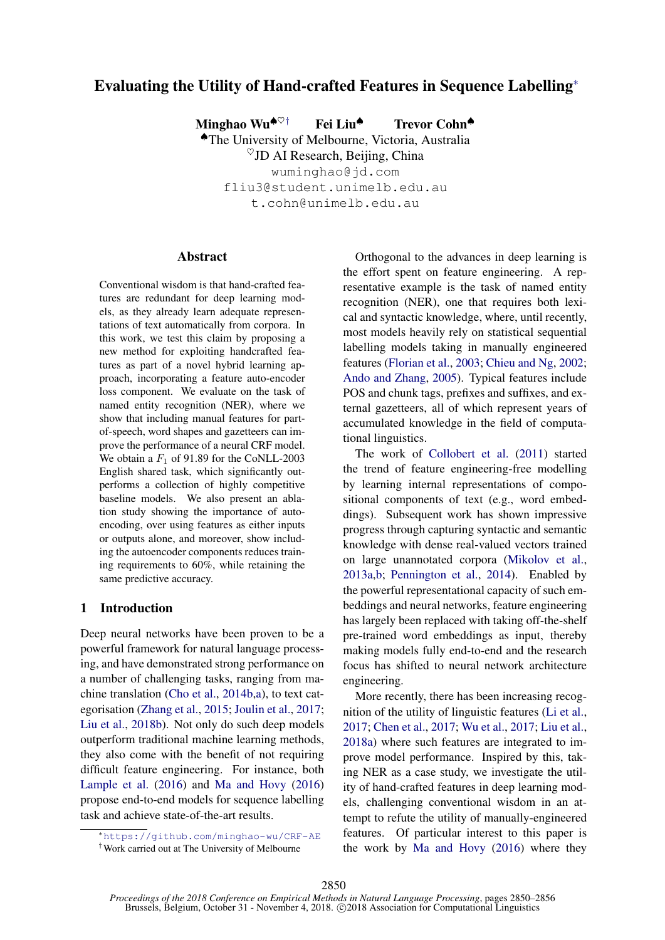# Evaluating the Utility of Hand-crafted Features in Sequence Labelling<sup>∗</sup>

Minghao Wu<sup> $\bullet$ ♡†</sup> Fei Liu<sup>◆</sup> Trevor Cohn<sup>◆</sup> ♠The University of Melbourne, Victoria, Australia

 $\degree$ JD AI Research, Beijing, China wuminghao@jd.com fliu3@student.unimelb.edu.au t.cohn@unimelb.edu.au

#### **Abstract**

Conventional wisdom is that hand-crafted features are redundant for deep learning models, as they already learn adequate representations of text automatically from corpora. In this work, we test this claim by proposing a new method for exploiting handcrafted features as part of a novel hybrid learning approach, incorporating a feature auto-encoder loss component. We evaluate on the task of named entity recognition (NER), where we show that including manual features for partof-speech, word shapes and gazetteers can improve the performance of a neural CRF model. We obtain a  $F_1$  of 91.89 for the CoNLL-2003 English shared task, which significantly outperforms a collection of highly competitive baseline models. We also present an ablation study showing the importance of autoencoding, over using features as either inputs or outputs alone, and moreover, show including the autoencoder components reduces training requirements to 60%, while retaining the same predictive accuracy.

# 1 Introduction

Deep neural networks have been proven to be a powerful framework for natural language processing, and have demonstrated strong performance on a number of challenging tasks, ranging from machine translation [\(Cho et al.,](#page-5-0) [2014b,](#page-5-0)[a\)](#page-5-1), to text categorisation [\(Zhang et al.,](#page-6-0) [2015;](#page-6-0) [Joulin et al.,](#page-5-2) [2017;](#page-5-2) [Liu et al.,](#page-5-3) [2018b\)](#page-5-3). Not only do such deep models outperform traditional machine learning methods, they also come with the benefit of not requiring difficult feature engineering. For instance, both [Lample et al.](#page-5-4) [\(2016\)](#page-5-4) and [Ma and Hovy](#page-5-5) [\(2016\)](#page-5-5) propose end-to-end models for sequence labelling task and achieve state-of-the-art results.

Orthogonal to the advances in deep learning is the effort spent on feature engineering. A representative example is the task of named entity recognition (NER), one that requires both lexical and syntactic knowledge, where, until recently, most models heavily rely on statistical sequential labelling models taking in manually engineered features [\(Florian et al.,](#page-5-6) [2003;](#page-5-6) [Chieu and Ng,](#page-5-7) [2002;](#page-5-7) [Ando and Zhang,](#page-5-8) [2005\)](#page-5-8). Typical features include POS and chunk tags, prefixes and suffixes, and external gazetteers, all of which represent years of accumulated knowledge in the field of computational linguistics.

The work of [Collobert et al.](#page-5-9) [\(2011\)](#page-5-9) started the trend of feature engineering-free modelling by learning internal representations of compositional components of text (e.g., word embeddings). Subsequent work has shown impressive progress through capturing syntactic and semantic knowledge with dense real-valued vectors trained on large unannotated corpora [\(Mikolov et al.,](#page-5-10) [2013a,](#page-5-10)[b;](#page-5-11) [Pennington et al.,](#page-6-1) [2014\)](#page-6-1). Enabled by the powerful representational capacity of such embeddings and neural networks, feature engineering has largely been replaced with taking off-the-shelf pre-trained word embeddings as input, thereby making models fully end-to-end and the research focus has shifted to neural network architecture engineering.

More recently, there has been increasing recognition of the utility of linguistic features [\(Li et al.,](#page-5-12) [2017;](#page-5-12) [Chen et al.,](#page-5-13) [2017;](#page-5-13) [Wu et al.,](#page-6-2) [2017;](#page-6-2) [Liu et al.,](#page-5-14) [2018a\)](#page-5-14) where such features are integrated to improve model performance. Inspired by this, taking NER as a case study, we investigate the utility of hand-crafted features in deep learning models, challenging conventional wisdom in an attempt to refute the utility of manually-engineered features. Of particular interest to this paper is the work by [Ma and Hovy](#page-5-5) [\(2016\)](#page-5-5) where they

<sup>∗</sup><https://github.com/minghao-wu/CRF-AE>

<sup>†</sup>Work carried out at The University of Melbourne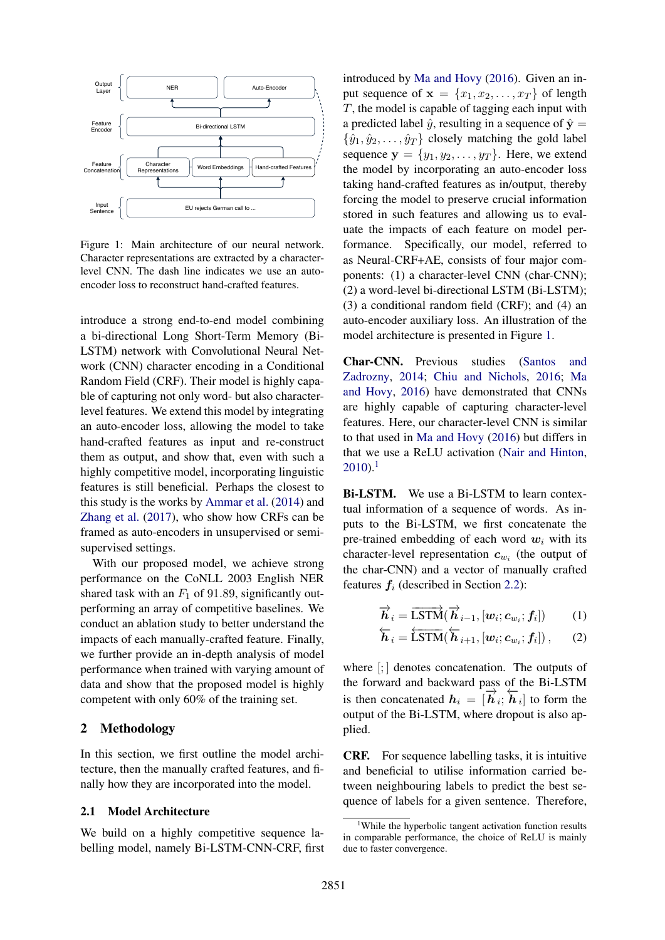

<span id="page-1-0"></span>Figure 1: Main architecture of our neural network. Character representations are extracted by a characterlevel CNN. The dash line indicates we use an autoencoder loss to reconstruct hand-crafted features.

introduce a strong end-to-end model combining a bi-directional Long Short-Term Memory (Bi-LSTM) network with Convolutional Neural Network (CNN) character encoding in a Conditional Random Field (CRF). Their model is highly capable of capturing not only word- but also characterlevel features. We extend this model by integrating an auto-encoder loss, allowing the model to take hand-crafted features as input and re-construct them as output, and show that, even with such a highly competitive model, incorporating linguistic features is still beneficial. Perhaps the closest to this study is the works by [Ammar et al.](#page-4-0) [\(2014\)](#page-4-0) and [Zhang et al.](#page-6-3) [\(2017\)](#page-6-3), who show how CRFs can be framed as auto-encoders in unsupervised or semisupervised settings.

With our proposed model, we achieve strong performance on the CoNLL 2003 English NER shared task with an  $F_1$  of 91.89, significantly outperforming an array of competitive baselines. We conduct an ablation study to better understand the impacts of each manually-crafted feature. Finally, we further provide an in-depth analysis of model performance when trained with varying amount of data and show that the proposed model is highly competent with only 60% of the training set.

#### 2 Methodology

In this section, we first outline the model architecture, then the manually crafted features, and finally how they are incorporated into the model.

## 2.1 Model Architecture

We build on a highly competitive sequence labelling model, namely Bi-LSTM-CNN-CRF, first

introduced by [Ma and Hovy](#page-5-5) [\(2016\)](#page-5-5). Given an input sequence of  $\mathbf{x} = \{x_1, x_2, \dots, x_T\}$  of length T, the model is capable of tagging each input with a predicted label  $\hat{y}$ , resulting in a sequence of  $\hat{y} =$  $\{\hat{y}_1, \hat{y}_2, \dots, \hat{y}_T\}$  closely matching the gold label sequence  $y = \{y_1, y_2, \ldots, y_T\}$ . Here, we extend the model by incorporating an auto-encoder loss taking hand-crafted features as in/output, thereby forcing the model to preserve crucial information stored in such features and allowing us to evaluate the impacts of each feature on model performance. Specifically, our model, referred to as Neural-CRF+AE, consists of four major components: (1) a character-level CNN (char-CNN); (2) a word-level bi-directional LSTM (Bi-LSTM); (3) a conditional random field (CRF); and (4) an auto-encoder auxiliary loss. An illustration of the model architecture is presented in Figure [1.](#page-1-0)

Char-CNN. Previous studies [\(Santos and](#page-6-4) [Zadrozny,](#page-6-4) [2014;](#page-6-4) [Chiu and Nichols,](#page-5-15) [2016;](#page-5-15) [Ma](#page-5-5) [and Hovy,](#page-5-5) [2016\)](#page-5-5) have demonstrated that CNNs are highly capable of capturing character-level features. Here, our character-level CNN is similar to that used in [Ma and Hovy](#page-5-5) [\(2016\)](#page-5-5) but differs in that we use a ReLU activation [\(Nair and Hinton,](#page-5-16)  $2010$  $2010$  $2010$ .<sup>1</sup>

Bi-LSTM. We use a Bi-LSTM to learn contextual information of a sequence of words. As inputs to the Bi-LSTM, we first concatenate the pre-trained embedding of each word  $w_i$  with its character-level representation  $c_{w_i}$  (the output of the char-CNN) and a vector of manually crafted features  $f_i$  (described in Section [2.2\)](#page-2-0):

$$
\overrightarrow{\boldsymbol{h}}_{i} = \overrightarrow{\text{LSTM}}(\overrightarrow{\boldsymbol{h}}_{i-1}, [\boldsymbol{w}_{i}; \boldsymbol{c}_{w_{i}}; \boldsymbol{f}_{i}])
$$
 (1)

$$
\overleftarrow{\boldsymbol{h}}_{i} = \overleftarrow{\text{LSTM}}(\overleftarrow{\boldsymbol{h}}_{i+1}, [\boldsymbol{w}_{i}; \boldsymbol{c}_{w_{i}}; \boldsymbol{f}_{i}]), \qquad (2)
$$

where [; ] denotes concatenation. The outputs of the forward and backward pass of the Bi-LSTM is then concatenated  $h_i = [\vec{h}_i; \vec{h}_i]$  to form the output of the Bi-LSTM, where dropout is also applied.

CRF. For sequence labelling tasks, it is intuitive and beneficial to utilise information carried between neighbouring labels to predict the best sequence of labels for a given sentence. Therefore,

<span id="page-1-1"></span><sup>&</sup>lt;sup>1</sup>While the hyperbolic tangent activation function results in comparable performance, the choice of ReLU is mainly due to faster convergence.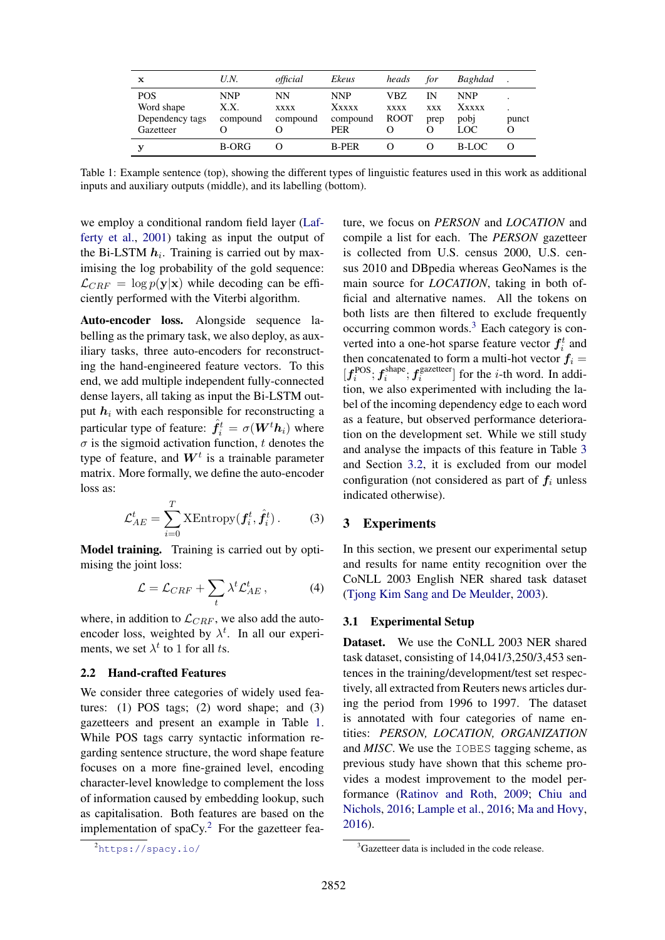| x                                                        | U.N.                           | official                      | Ekeus                                         | heads                              | for                      | Baghdad                             |            |
|----------------------------------------------------------|--------------------------------|-------------------------------|-----------------------------------------------|------------------------------------|--------------------------|-------------------------------------|------------|
| <b>POS</b><br>Word shape<br>Dependency tags<br>Gazetteer | <b>NNP</b><br>X.X.<br>compound | NΝ<br><b>XXXX</b><br>compound | <b>NNP</b><br>Xxxxx<br>compound<br><b>PER</b> | VBZ.<br><b>XXXX</b><br><b>ROOT</b> | IN<br><b>XXX</b><br>prep | <b>NNP</b><br>Xxxxx<br>pobi<br>LOC. | punct<br>Ω |
| v                                                        | B-ORG                          |                               | <b>B-PER</b>                                  |                                    |                          | B-LOC                               |            |

<span id="page-2-1"></span>Table 1: Example sentence (top), showing the different types of linguistic features used in this work as additional inputs and auxiliary outputs (middle), and its labelling (bottom).

we employ a conditional random field layer [\(Laf](#page-5-17)[ferty et al.,](#page-5-17) [2001\)](#page-5-17) taking as input the output of the Bi-LSTM  $h_i$ . Training is carried out by maximising the log probability of the gold sequence:  $\mathcal{L}_{CRF} = \log p(\mathbf{y}|\mathbf{x})$  while decoding can be efficiently performed with the Viterbi algorithm.

Auto-encoder loss. Alongside sequence labelling as the primary task, we also deploy, as auxiliary tasks, three auto-encoders for reconstructing the hand-engineered feature vectors. To this end, we add multiple independent fully-connected dense layers, all taking as input the Bi-LSTM output  $h_i$  with each responsible for reconstructing a particular type of feature:  $\hat{f}_i^t = \sigma(\bm{W}^t \bm{h}_i)$  where  $\sigma$  is the sigmoid activation function, t denotes the type of feature, and  $W<sup>t</sup>$  is a trainable parameter matrix. More formally, we define the auto-encoder loss as:

$$
\mathcal{L}_{AE}^t = \sum_{i=0}^T \text{XEntropy}(\boldsymbol{f}_i^t, \hat{\boldsymbol{f}}_i^t).
$$
 (3)

Model training. Training is carried out by optimising the joint loss:

$$
\mathcal{L} = \mathcal{L}_{CRF} + \sum_{t} \lambda^{t} \mathcal{L}_{AE}^{t}, \qquad (4)
$$

where, in addition to  $\mathcal{L}_{CRF}$ , we also add the autoencoder loss, weighted by  $\lambda^t$ . In all our experiments, we set  $\lambda^t$  to 1 for all ts.

#### <span id="page-2-0"></span>2.2 Hand-crafted Features

We consider three categories of widely used features: (1) POS tags; (2) word shape; and (3) gazetteers and present an example in Table [1.](#page-2-1) While POS tags carry syntactic information regarding sentence structure, the word shape feature focuses on a more fine-grained level, encoding character-level knowledge to complement the loss of information caused by embedding lookup, such as capitalisation. Both features are based on the implementation of  $spaCy$ .<sup>[2](#page-2-2)</sup> For the gazetteer feature, we focus on *PERSON* and *LOCATION* and compile a list for each. The *PERSON* gazetteer is collected from U.S. census 2000, U.S. census 2010 and DBpedia whereas GeoNames is the main source for *LOCATION*, taking in both official and alternative names. All the tokens on both lists are then filtered to exclude frequently occurring common words.[3](#page-2-3) Each category is converted into a one-hot sparse feature vector  $f_i^t$  and then concatenated to form a multi-hot vector  $f_i =$  $[\boldsymbol{f}^{\mathrm{POS}}_i; \boldsymbol{f}^{\mathrm{shape}}_i$  $i$ <sup>shape</sup>;  $f_i^{\text{gazetteer}}$  $i$ <sup>gazeneer</sup>] for the *i*-th word. In addition, we also experimented with including the label of the incoming dependency edge to each word as a feature, but observed performance deterioration on the development set. While we still study and analyse the impacts of this feature in Table [3](#page-4-1) and Section [3.2,](#page-3-0) it is excluded from our model configuration (not considered as part of  $f_i$  unless indicated otherwise).

# 3 Experiments

In this section, we present our experimental setup and results for name entity recognition over the CoNLL 2003 English NER shared task dataset [\(Tjong Kim Sang and De Meulder,](#page-6-5) [2003\)](#page-6-5).

#### 3.1 Experimental Setup

Dataset. We use the CoNLL 2003 NER shared task dataset, consisting of 14,041/3,250/3,453 sentences in the training/development/test set respectively, all extracted from Reuters news articles during the period from 1996 to 1997. The dataset is annotated with four categories of name entities: *PERSON, LOCATION, ORGANIZATION* and *MISC*. We use the IOBES tagging scheme, as previous study have shown that this scheme provides a modest improvement to the model performance [\(Ratinov and Roth,](#page-6-6) [2009;](#page-6-6) [Chiu and](#page-5-15) [Nichols,](#page-5-15) [2016;](#page-5-15) [Lample et al.,](#page-5-4) [2016;](#page-5-4) [Ma and Hovy,](#page-5-5) [2016\)](#page-5-5).

<span id="page-2-2"></span><sup>2</sup><https://spacy.io/>

<span id="page-2-3"></span><sup>&</sup>lt;sup>3</sup>Gazetteer data is included in the code release.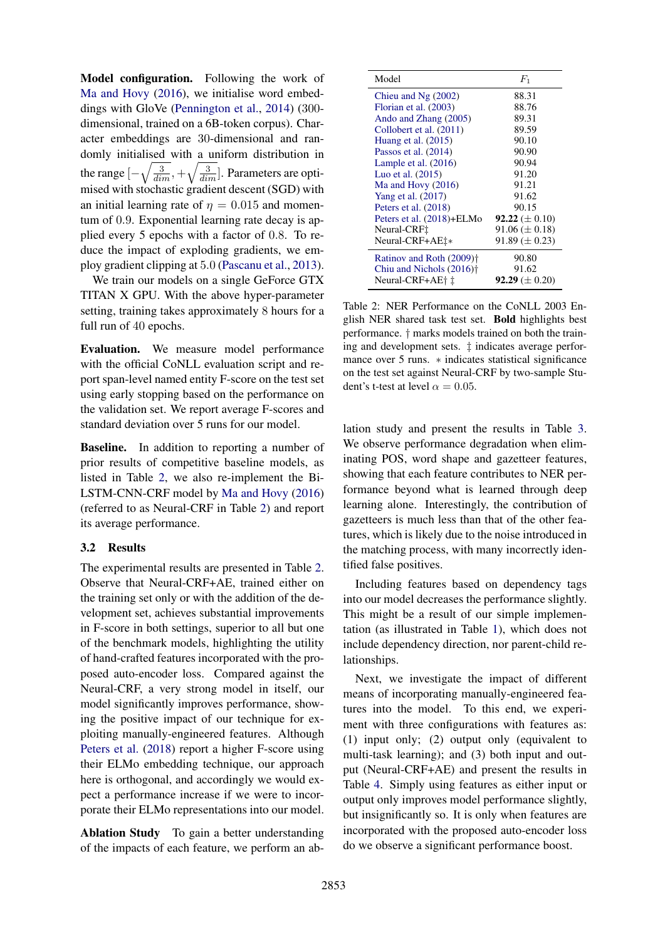Model configuration. Following the work of [Ma and Hovy](#page-5-5) [\(2016\)](#page-5-5), we initialise word embeddings with GloVe [\(Pennington et al.,](#page-6-1) [2014\)](#page-6-1) (300 dimensional, trained on a 6B-token corpus). Character embeddings are 30-dimensional and randomly initialised with a uniform distribution in the range  $\left[-\sqrt{\frac{3}{dim}} , +\sqrt{\frac{3}{dim}}\right]$ . Parameters are optimised with stochastic gradient descent (SGD) with an initial learning rate of  $\eta = 0.015$  and momentum of 0.9. Exponential learning rate decay is applied every 5 epochs with a factor of 0.8. To reduce the impact of exploding gradients, we employ gradient clipping at 5.0 [\(Pascanu et al.,](#page-6-7) [2013\)](#page-6-7).

We train our models on a single GeForce GTX TITAN X GPU. With the above hyper-parameter setting, training takes approximately 8 hours for a full run of 40 epochs.

Evaluation. We measure model performance with the official CoNLL evaluation script and report span-level named entity F-score on the test set using early stopping based on the performance on the validation set. We report average F-scores and standard deviation over 5 runs for our model.

Baseline. In addition to reporting a number of prior results of competitive baseline models, as listed in Table [2,](#page-3-1) we also re-implement the Bi-LSTM-CNN-CRF model by [Ma and Hovy](#page-5-5) [\(2016\)](#page-5-5) (referred to as Neural-CRF in Table [2\)](#page-3-1) and report its average performance.

#### 3.2 Results

The experimental results are presented in Table [2.](#page-3-1) Observe that Neural-CRF+AE, trained either on the training set only or with the addition of the development set, achieves substantial improvements in F-score in both settings, superior to all but one of the benchmark models, highlighting the utility of hand-crafted features incorporated with the proposed auto-encoder loss. Compared against the Neural-CRF, a very strong model in itself, our model significantly improves performance, showing the positive impact of our technique for exploiting manually-engineered features. Although [Peters et al.](#page-6-8) [\(2018\)](#page-6-8) report a higher F-score using their ELMo embedding technique, our approach here is orthogonal, and accordingly we would expect a performance increase if we were to incorporate their ELMo representations into our model.

<span id="page-3-0"></span>Ablation Study To gain a better understanding of the impacts of each feature, we perform an ab-

| Model                                | $F_{1}$                    |
|--------------------------------------|----------------------------|
| Chieu and $Ng(2002)$                 | 88.31                      |
| Florian et al. (2003)                | 88.76                      |
| Ando and Zhang (2005)                | 89.31                      |
| Collobert et al. (2011)              | 89.59                      |
| Huang et al. $(2015)$                | 90.10                      |
| Passos et al. $(2014)$               | 90.90                      |
| Lample et al. $(2016)$               | 90.94                      |
| Luo et al. $(2015)$                  | 91.20                      |
| Ma and Hovy (2016)                   | 91.21                      |
| Yang et al. (2017)                   | 91.62                      |
| Peters et al. (2018)                 | 90.15                      |
| Peters et al. (2018)+ELMo            | <b>92.22</b> ( $\pm$ 0.10) |
| Neural-CRF <sup>†</sup>              | $91.06 \ (\pm 0.18)$       |
| Neural-CRF+AE <sup>†*</sup>          | $91.89 \ (\pm 0.23)$       |
| Ratinov and Roth (2009) <sup>†</sup> | 90.80                      |
| Chiu and Nichols (2016) <sup>†</sup> | 91.62                      |
| Neural-CRF+AE† ‡                     | <b>92.29</b> ( $\pm$ 0.20) |

<span id="page-3-1"></span>Table 2: NER Performance on the CoNLL 2003 English NER shared task test set. Bold highlights best performance. † marks models trained on both the training and development sets. ‡ indicates average performance over 5 runs. ∗ indicates statistical significance on the test set against Neural-CRF by two-sample Student's t-test at level  $\alpha = 0.05$ .

lation study and present the results in Table [3.](#page-4-1) We observe performance degradation when eliminating POS, word shape and gazetteer features, showing that each feature contributes to NER performance beyond what is learned through deep learning alone. Interestingly, the contribution of gazetteers is much less than that of the other features, which is likely due to the noise introduced in the matching process, with many incorrectly identified false positives.

Including features based on dependency tags into our model decreases the performance slightly. This might be a result of our simple implementation (as illustrated in Table [1\)](#page-2-1), which does not include dependency direction, nor parent-child relationships.

Next, we investigate the impact of different means of incorporating manually-engineered features into the model. To this end, we experiment with three configurations with features as: (1) input only; (2) output only (equivalent to multi-task learning); and (3) both input and output (Neural-CRF+AE) and present the results in Table [4.](#page-4-2) Simply using features as either input or output only improves model performance slightly, but insignificantly so. It is only when features are incorporated with the proposed auto-encoder loss do we observe a significant performance boost.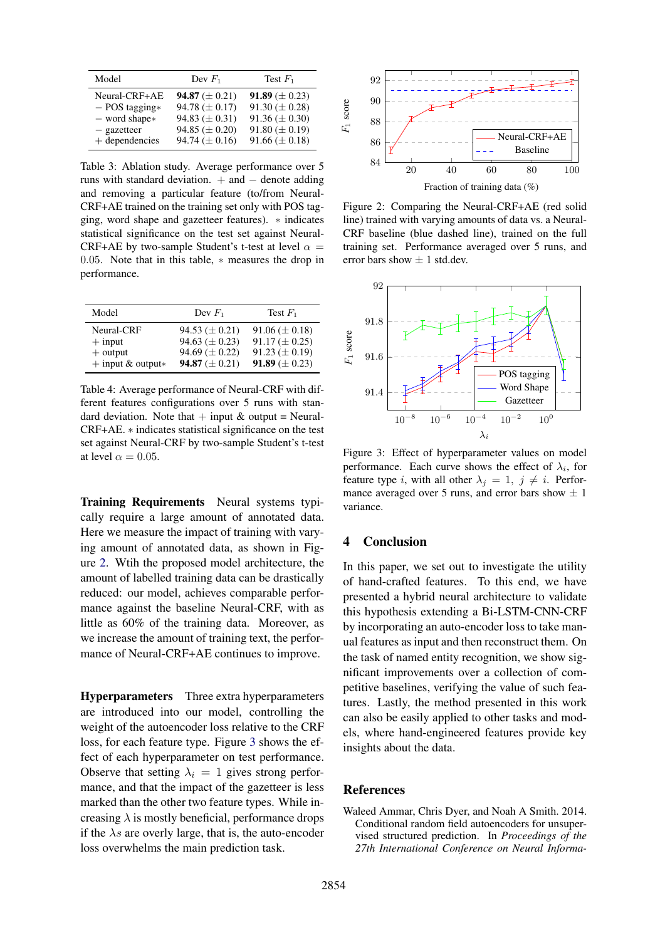| Model            | Dev $F_1$                  | Test $F_1$                 |
|------------------|----------------------------|----------------------------|
| Neural-CRF+AE    | <b>94.87</b> ( $\pm$ 0.21) | <b>91.89</b> ( $\pm$ 0.23) |
| $-$ POS tagging* | 94.78 $(\pm 0.17)$         | $91.30 \ (\pm 0.28)$       |
| $-$ word shape*  | 94.83 $(\pm 0.31)$         | $91.36 \ (\pm 0.30)$       |
| $-$ gazetteer    | $94.85 \ (\pm 0.20)$       | $91.80 \ (\pm 0.19)$       |
| $+$ dependencies | $94.74 \ (\pm 0.16)$       | $91.66 \ (\pm 0.18)$       |

<span id="page-4-1"></span>Table 3: Ablation study. Average performance over 5 runs with standard deviation.  $+$  and  $-$  denote adding and removing a particular feature (to/from Neural-CRF+AE trained on the training set only with POS tagging, word shape and gazetteer features). ∗ indicates statistical significance on the test set against Neural-CRF+AE by two-sample Student's t-test at level  $\alpha =$ 0.05. Note that in this table,  $*$  measures the drop in performance.

| Model                  | Dev $F_1$            | Test $F_1$           |
|------------------------|----------------------|----------------------|
| Neural-CRF             | $94.53 \ (\pm 0.21)$ | $91.06 \ (\pm 0.18)$ |
| $+$ input              | 94.63 ( $\pm$ 0.23)  | $91.17 \ (\pm 0.25)$ |
| $+$ output             | $94.69 \ (\pm 0.22)$ | $91.23 \ (\pm 0.19)$ |
| $+$ input & output $*$ | 94.87 $(\pm 0.21)$   | 91.89 ( $\pm$ 0.23)  |

<span id="page-4-2"></span>Table 4: Average performance of Neural-CRF with different features configurations over 5 runs with standard deviation. Note that  $+$  input  $\&$  output = Neural-CRF+AE. ∗ indicates statistical significance on the test set against Neural-CRF by two-sample Student's t-test at level  $\alpha = 0.05$ .

Training Requirements Neural systems typically require a large amount of annotated data. Here we measure the impact of training with varying amount of annotated data, as shown in Figure [2.](#page-4-3) Wtih the proposed model architecture, the amount of labelled training data can be drastically reduced: our model, achieves comparable performance against the baseline Neural-CRF, with as little as 60% of the training data. Moreover, as we increase the amount of training text, the performance of Neural-CRF+AE continues to improve.

Hyperparameters Three extra hyperparameters are introduced into our model, controlling the weight of the autoencoder loss relative to the CRF loss, for each feature type. Figure [3](#page-4-4) shows the effect of each hyperparameter on test performance. Observe that setting  $\lambda_i = 1$  gives strong performance, and that the impact of the gazetteer is less marked than the other two feature types. While increasing  $\lambda$  is mostly beneficial, performance drops if the  $\lambda s$  are overly large, that is, the auto-encoder loss overwhelms the main prediction task.



<span id="page-4-3"></span>Figure 2: Comparing the Neural-CRF+AE (red solid line) trained with varying amounts of data vs. a Neural-CRF baseline (blue dashed line), trained on the full training set. Performance averaged over 5 runs, and error bars show  $\pm$  1 std.dev.



<span id="page-4-4"></span>Figure 3: Effect of hyperparameter values on model performance. Each curve shows the effect of  $\lambda_i$ , for feature type i, with all other  $\lambda_j = 1$ ,  $j \neq i$ . Performance averaged over 5 runs, and error bars show  $\pm$  1 variance.

## 4 Conclusion

In this paper, we set out to investigate the utility of hand-crafted features. To this end, we have presented a hybrid neural architecture to validate this hypothesis extending a Bi-LSTM-CNN-CRF by incorporating an auto-encoder loss to take manual features as input and then reconstruct them. On the task of named entity recognition, we show significant improvements over a collection of competitive baselines, verifying the value of such features. Lastly, the method presented in this work can also be easily applied to other tasks and models, where hand-engineered features provide key insights about the data.

# References

<span id="page-4-0"></span>Waleed Ammar, Chris Dyer, and Noah A Smith. 2014. Conditional random field autoencoders for unsupervised structured prediction. In *Proceedings of the 27th International Conference on Neural Informa-*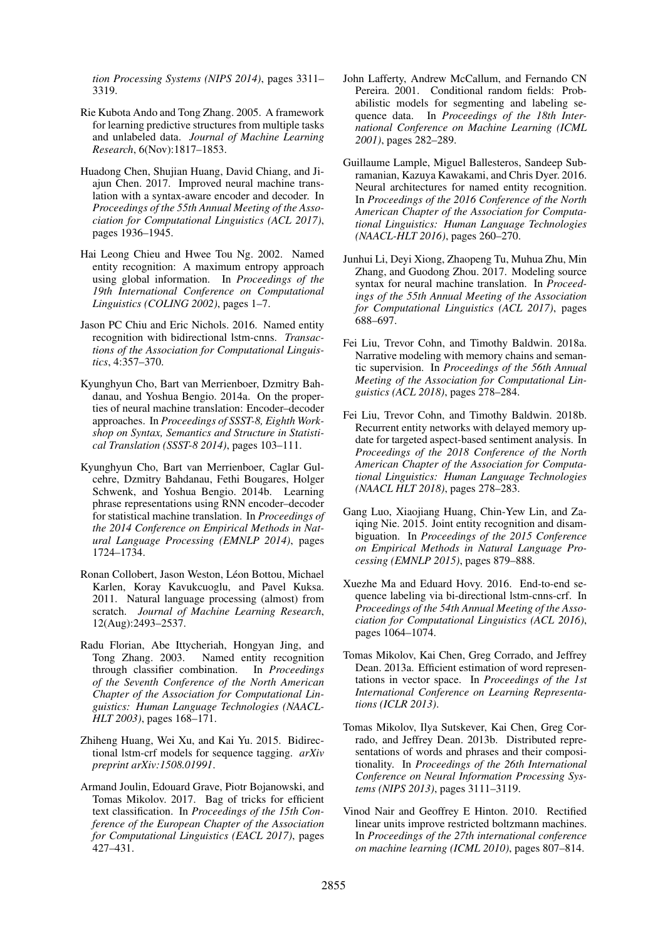*tion Processing Systems (NIPS 2014)*, pages 3311– 3319.

- <span id="page-5-8"></span>Rie Kubota Ando and Tong Zhang. 2005. A framework for learning predictive structures from multiple tasks and unlabeled data. *Journal of Machine Learning Research*, 6(Nov):1817–1853.
- <span id="page-5-13"></span>Huadong Chen, Shujian Huang, David Chiang, and Jiajun Chen. 2017. Improved neural machine translation with a syntax-aware encoder and decoder. In *Proceedings of the 55th Annual Meeting of the Association for Computational Linguistics (ACL 2017)*, pages 1936–1945.
- <span id="page-5-7"></span>Hai Leong Chieu and Hwee Tou Ng. 2002. Named entity recognition: A maximum entropy approach using global information. In *Proceedings of the 19th International Conference on Computational Linguistics (COLING 2002)*, pages 1–7.
- <span id="page-5-15"></span>Jason PC Chiu and Eric Nichols. 2016. Named entity recognition with bidirectional lstm-cnns. *Transactions of the Association for Computational Linguistics*, 4:357–370.
- <span id="page-5-1"></span>Kyunghyun Cho, Bart van Merrienboer, Dzmitry Bahdanau, and Yoshua Bengio. 2014a. On the properties of neural machine translation: Encoder–decoder approaches. In *Proceedings of SSST-8, Eighth Workshop on Syntax, Semantics and Structure in Statistical Translation (SSST-8 2014)*, pages 103–111.
- <span id="page-5-0"></span>Kyunghyun Cho, Bart van Merrienboer, Caglar Gulcehre, Dzmitry Bahdanau, Fethi Bougares, Holger Schwenk, and Yoshua Bengio. 2014b. Learning phrase representations using RNN encoder–decoder for statistical machine translation. In *Proceedings of the 2014 Conference on Empirical Methods in Natural Language Processing (EMNLP 2014)*, pages 1724–1734.
- <span id="page-5-9"></span>Ronan Collobert, Jason Weston, Léon Bottou, Michael Karlen, Koray Kavukcuoglu, and Pavel Kuksa. 2011. Natural language processing (almost) from scratch. *Journal of Machine Learning Research*, 12(Aug):2493–2537.
- <span id="page-5-6"></span>Radu Florian, Abe Ittycheriah, Hongyan Jing, and Tong Zhang. 2003. Named entity recognition through classifier combination. In *Proceedings of the Seventh Conference of the North American Chapter of the Association for Computational Linguistics: Human Language Technologies (NAACL-HLT 2003)*, pages 168–171.
- <span id="page-5-18"></span>Zhiheng Huang, Wei Xu, and Kai Yu. 2015. Bidirectional lstm-crf models for sequence tagging. *arXiv preprint arXiv:1508.01991*.
- <span id="page-5-2"></span>Armand Joulin, Edouard Grave, Piotr Bojanowski, and Tomas Mikolov. 2017. Bag of tricks for efficient text classification. In *Proceedings of the 15th Conference of the European Chapter of the Association for Computational Linguistics (EACL 2017)*, pages 427–431.
- <span id="page-5-17"></span>John Lafferty, Andrew McCallum, and Fernando CN Pereira. 2001. Conditional random fields: Probabilistic models for segmenting and labeling sequence data. In *Proceedings of the 18th International Conference on Machine Learning (ICML 2001)*, pages 282–289.
- <span id="page-5-4"></span>Guillaume Lample, Miguel Ballesteros, Sandeep Subramanian, Kazuya Kawakami, and Chris Dyer. 2016. Neural architectures for named entity recognition. In *Proceedings of the 2016 Conference of the North American Chapter of the Association for Computational Linguistics: Human Language Technologies (NAACL-HLT 2016)*, pages 260–270.
- <span id="page-5-12"></span>Junhui Li, Deyi Xiong, Zhaopeng Tu, Muhua Zhu, Min Zhang, and Guodong Zhou. 2017. Modeling source syntax for neural machine translation. In *Proceedings of the 55th Annual Meeting of the Association for Computational Linguistics (ACL 2017)*, pages 688–697.
- <span id="page-5-14"></span>Fei Liu, Trevor Cohn, and Timothy Baldwin. 2018a. Narrative modeling with memory chains and semantic supervision. In *Proceedings of the 56th Annual Meeting of the Association for Computational Linguistics (ACL 2018)*, pages 278–284.
- <span id="page-5-3"></span>Fei Liu, Trevor Cohn, and Timothy Baldwin. 2018b. Recurrent entity networks with delayed memory update for targeted aspect-based sentiment analysis. In *Proceedings of the 2018 Conference of the North American Chapter of the Association for Computational Linguistics: Human Language Technologies (NAACL HLT 2018)*, pages 278–283.
- <span id="page-5-19"></span>Gang Luo, Xiaojiang Huang, Chin-Yew Lin, and Zaiqing Nie. 2015. Joint entity recognition and disambiguation. In *Proceedings of the 2015 Conference on Empirical Methods in Natural Language Processing (EMNLP 2015)*, pages 879–888.
- <span id="page-5-5"></span>Xuezhe Ma and Eduard Hovy. 2016. End-to-end sequence labeling via bi-directional lstm-cnns-crf. In *Proceedings of the 54th Annual Meeting of the Association for Computational Linguistics (ACL 2016)*, pages 1064–1074.
- <span id="page-5-10"></span>Tomas Mikolov, Kai Chen, Greg Corrado, and Jeffrey Dean. 2013a. Efficient estimation of word representations in vector space. In *Proceedings of the 1st International Conference on Learning Representations (ICLR 2013)*.
- <span id="page-5-11"></span>Tomas Mikolov, Ilya Sutskever, Kai Chen, Greg Corrado, and Jeffrey Dean. 2013b. Distributed representations of words and phrases and their compositionality. In *Proceedings of the 26th International Conference on Neural Information Processing Systems (NIPS 2013)*, pages 3111–3119.
- <span id="page-5-16"></span>Vinod Nair and Geoffrey E Hinton. 2010. Rectified linear units improve restricted boltzmann machines. In *Proceedings of the 27th international conference on machine learning (ICML 2010)*, pages 807–814.